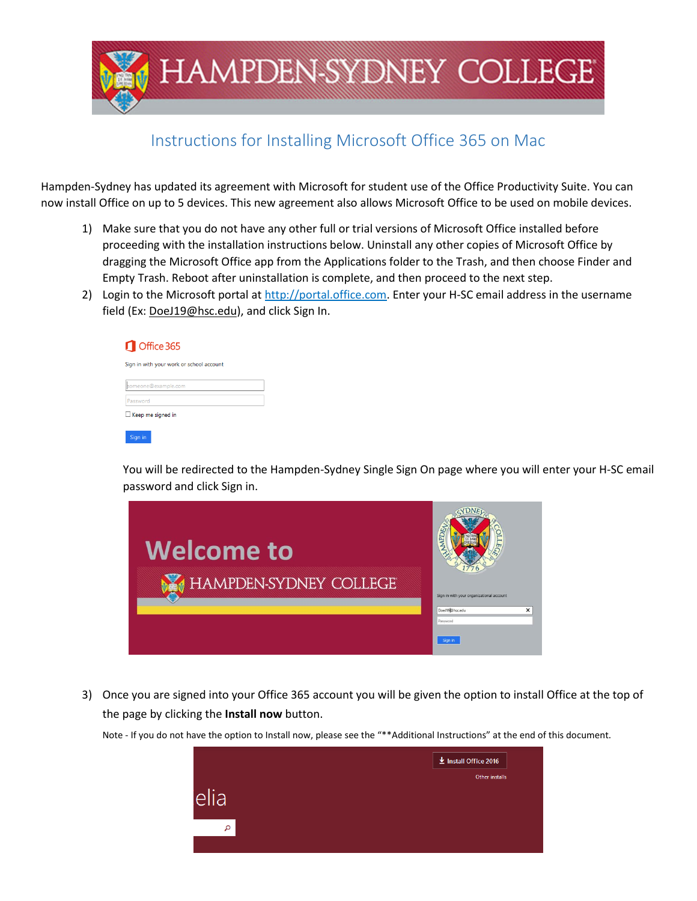

## Instructions for Installing Microsoft Office 365 on Mac

Hampden-Sydney has updated its agreement with Microsoft for student use of the Office Productivity Suite. You can now install Office on up to 5 devices. This new agreement also allows Microsoft Office to be used on mobile devices.

- 1) Make sure that you do not have any other full or trial versions of Microsoft Office installed before proceeding with the installation instructions below. Uninstall any other copies of Microsoft Office by dragging the Microsoft Office app from the Applications folder to the Trash, and then choose Finder and Empty Trash. Reboot after uninstallation is complete, and then proceed to the next step.
- 2) Login to the Microsoft portal at [http://portal.office.com.](http://portal.office.com/) Enter your H-SC email address in the username field (Ex: [DoeJ19@hsc.edu\)](mailto:DoeJ19@hsc.edu), and click Sign In.

| Office 365                               |  |  |  |  |
|------------------------------------------|--|--|--|--|
| Sign in with your work or school account |  |  |  |  |
| someone@example.com                      |  |  |  |  |
| Password                                 |  |  |  |  |
| Keep me signed in                        |  |  |  |  |
| Sign in                                  |  |  |  |  |

You will be redirected to the Hampden-Sydney Single Sign On page where you will enter your H-SC email password and click Sign in.



3) Once you are signed into your Office 365 account you will be given the option to install Office at the top of the page by clicking the **Install now** button.

Note - If you do not have the option to Install now, please see the "\*\*Additional Instructions" at the end of this document.

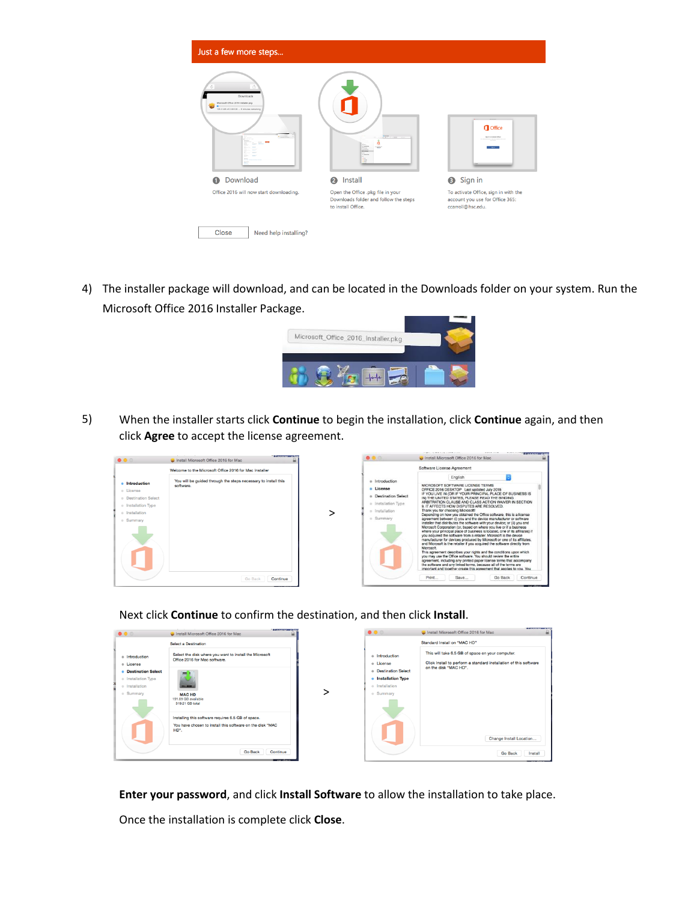

4) The installer package will download, and can be located in the Downloads folder on your system. Run the Microsoft Office 2016 Installer Package.



5) When the installer starts click **Continue** to begin the installation, click **Continue** again, and then click **Agree** to accept the license agreement.



Next click **Continue** to confirm the destination, and then click **Install**.



**Enter your password**, and click **Install Software** to allow the installation to take place.

Once the installation is complete click **Close**.